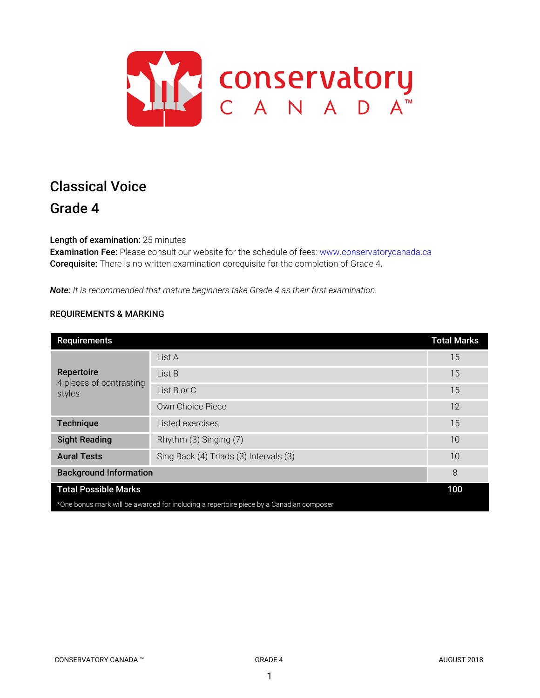

# Classical Voice Grade 4

Length of examination: 25 minutes

Examination Fee: Please consult our website for the schedule of fees: www.conservatorycanada.ca Corequisite: There is no written examination corequisite for the completion of Grade 4.

*Note: It is recommended that mature beginners take Grade 4 as their first examination.*

# REQUIREMENTS & MARKING

| <b>Requirements</b>                                                                     |                                        | <b>Total Marks</b> |  |
|-----------------------------------------------------------------------------------------|----------------------------------------|--------------------|--|
| Repertoire<br>4 pieces of contrasting<br>styles                                         | List A                                 | 15                 |  |
|                                                                                         | List B                                 | 15                 |  |
|                                                                                         | List B or C                            | 15                 |  |
|                                                                                         | Own Choice Piece                       | 12                 |  |
| <b>Technique</b>                                                                        | Listed exercises                       | 15                 |  |
| <b>Sight Reading</b>                                                                    | Rhythm (3) Singing (7)                 | 10                 |  |
| <b>Aural Tests</b>                                                                      | Sing Back (4) Triads (3) Intervals (3) | 10                 |  |
| <b>Background Information</b>                                                           |                                        | 8                  |  |
| <b>Total Possible Marks</b>                                                             |                                        | 100                |  |
| *One bonus mark will be awarded for including a repertoire piece by a Canadian composer |                                        |                    |  |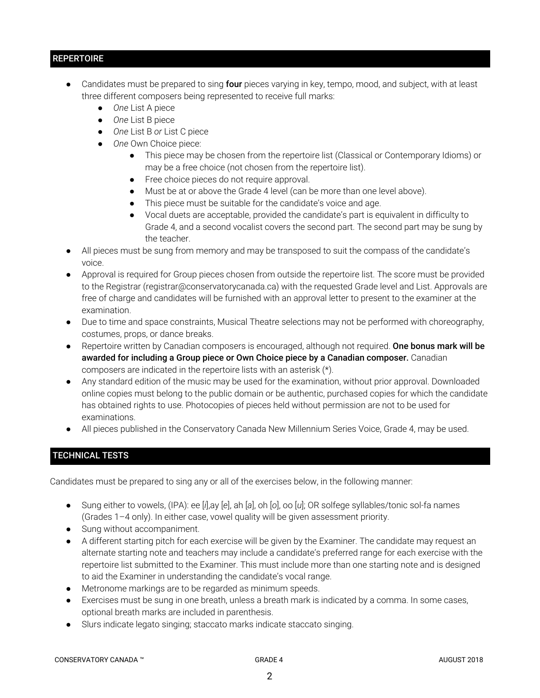# **REPERTOIRE**

- Candidates must be prepared to sing four pieces varying in key, tempo, mood, and subject, with at least three different composers being represented to receive full marks:
	- *One* List A piece
	- *One* List B piece
	- *One* List B *or* List C piece
	- *One* Own Choice piece:
		- This piece may be chosen from the repertoire list (Classical or Contemporary Idioms) or may be a free choice (not chosen from the repertoire list).
		- Free choice pieces do not require approval.
		- Must be at or above the Grade 4 level (can be more than one level above).
		- This piece must be suitable for the candidate's voice and age.
		- Vocal duets are acceptable, provided the candidate's part is equivalent in difficulty to Grade 4, and a second vocalist covers the second part. The second part may be sung by the teacher.
- All pieces must be sung from memory and may be transposed to suit the compass of the candidate's voice.
- Approval is required for Group pieces chosen from outside the repertoire list. The score must be provided to the Registrar (registrar@conservatorycanada.ca) with the requested Grade level and List. Approvals are free of charge and candidates will be furnished with an approval letter to present to the examiner at the examination.
- Due to time and space constraints, Musical Theatre selections may not be performed with choreography, costumes, props, or dance breaks.
- Repertoire written by Canadian composers is encouraged, although not required. One bonus mark will be awarded for including a Group piece or Own Choice piece by a Canadian composer. Canadian composers are indicated in the repertoire lists with an asterisk (\*).
- Any standard edition of the music may be used for the examination, without prior approval. Downloaded online copies must belong to the public domain or be authentic, purchased copies for which the candidate has obtained rights to use. Photocopies of pieces held without permission are not to be used for examinations.
- All pieces published in the Conservatory Canada New Millennium Series Voice, Grade 4, may be used.

# TECHNICAL TESTS

Candidates must be prepared to sing any or all of the exercises below, in the following manner:

- Sung either to vowels, (IPA): ee [*i*],ay [*e*], ah [*a*], oh [*o*], oo [*u*]; OR solfege syllables/tonic sol-fa names (Grades 1–4 only). In either case, vowel quality will be given assessment priority.
- Sung without accompaniment.
- A different starting pitch for each exercise will be given by the Examiner. The candidate may request an alternate starting note and teachers may include a candidate's preferred range for each exercise with the repertoire list submitted to the Examiner. This must include more than one starting note and is designed to aid the Examiner in understanding the candidate's vocal range.
- Metronome markings are to be regarded as minimum speeds.
- Exercises must be sung in one breath, unless a breath mark is indicated by a comma. In some cases, optional breath marks are included in parenthesis.
- Slurs indicate legato singing; staccato marks indicate staccato singing.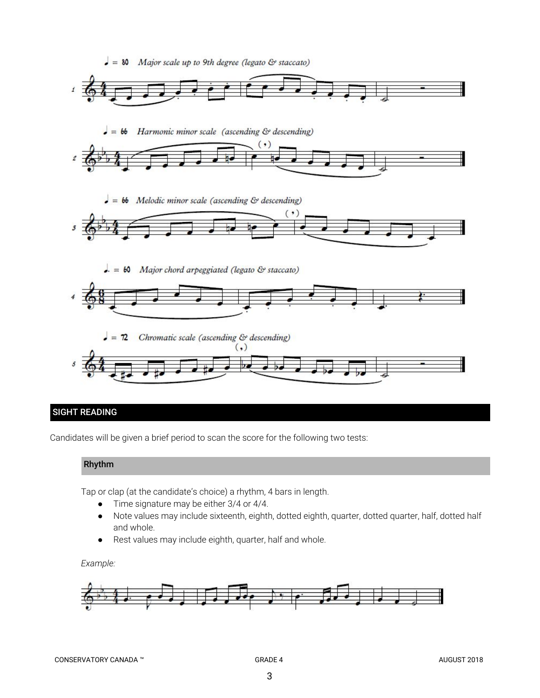

# SIGHT READING

Candidates will be given a brief period to scan the score for the following two tests:

# Rhythm

Tap or clap (at the candidate's choice) a rhythm, 4 bars in length.

- Time signature may be either 3/4 or 4/4.
- Note values may include sixteenth, eighth, dotted eighth, quarter, dotted quarter, half, dotted half and whole.
- Rest values may include eighth, quarter, half and whole.

### *Example:*

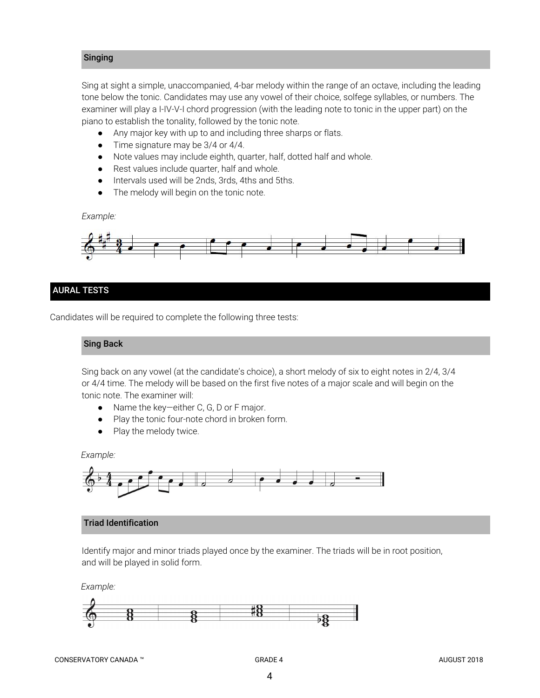# Singing

Sing at sight a simple, unaccompanied, 4-bar melody within the range of an octave, including the leading tone below the tonic. Candidates may use any vowel of their choice, solfege syllables, or numbers. The examiner will play a I-IV-V-I chord progression (with the leading note to tonic in the upper part) on the piano to establish the tonality, followed by the tonic note.

- *●* Any major key with up to and including three sharps or flats.
- *●* Time signature may be 3/4 or 4/4.
- Note values may include eighth, quarter, half, dotted half and whole.
- Rest values include quarter, half and whole.
- Intervals used will be 2nds, 3rds, 4ths and 5ths.
- The melody will begin on the tonic note.

*Example:*



# AURAL TESTS

Candidates will be required to complete the following three tests:

### Sing Back

Sing back on any vowel (at the candidate's choice), a short melody of six to eight notes in 2/4, 3/4 or 4/4 time. The melody will be based on the first five notes of a major scale and will begin on the tonic note. The examiner will:

- Name the key—either C, G, D or F major.
- Play the tonic four-note chord in broken form.
- Play the melody twice.

*Example:*



### Triad Identification

Identify major and minor triads played once by the examiner. The triads will be in root position, and will be played in solid form.

*Example:*

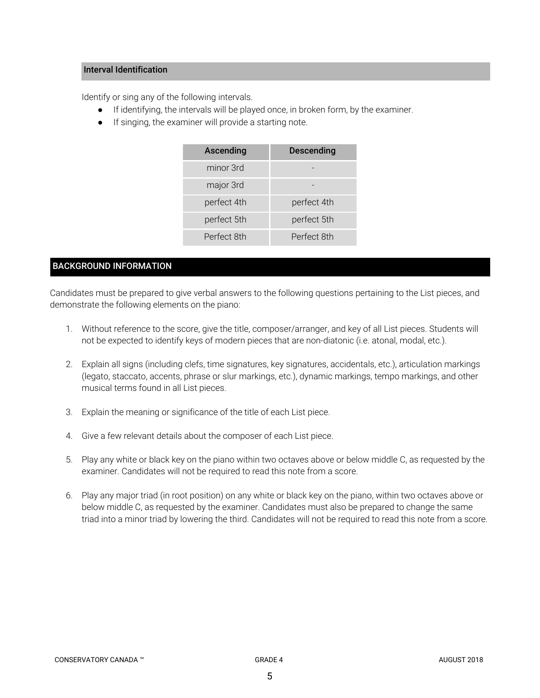# Interval Identification

Identify or sing any of the following intervals.

- If identifying, the intervals will be played once, in broken form, by the examiner.
- If singing, the examiner will provide a starting note.

| Ascending   | Descending  |  |
|-------------|-------------|--|
| minor 3rd   |             |  |
| major 3rd   |             |  |
| perfect 4th | perfect 4th |  |
| perfect 5th | perfect 5th |  |
| Perfect 8th | Perfect 8th |  |

# BACKGROUND INFORMATION

Candidates must be prepared to give verbal answers to the following questions pertaining to the List pieces, and demonstrate the following elements on the piano:

- 1. Without reference to the score, give the title, composer/arranger, and key of all List pieces. Students will not be expected to identify keys of modern pieces that are non-diatonic (i.e. atonal, modal, etc.).
- 2. Explain all signs (including clefs, time signatures, key signatures, accidentals, etc.), articulation markings (legato, staccato, accents, phrase or slur markings, etc.), dynamic markings, tempo markings, and other musical terms found in all List pieces.
- 3. Explain the meaning or significance of the title of each List piece.
- 4. Give a few relevant details about the composer of each List piece.
- 5. Play any white or black key on the piano within two octaves above or below middle C, as requested by the examiner. Candidates will not be required to read this note from a score.
- 6. Play any major triad (in root position) on any white or black key on the piano, within two octaves above or below middle C, as requested by the examiner. Candidates must also be prepared to change the same triad into a minor triad by lowering the third. Candidates will not be required to read this note from a score.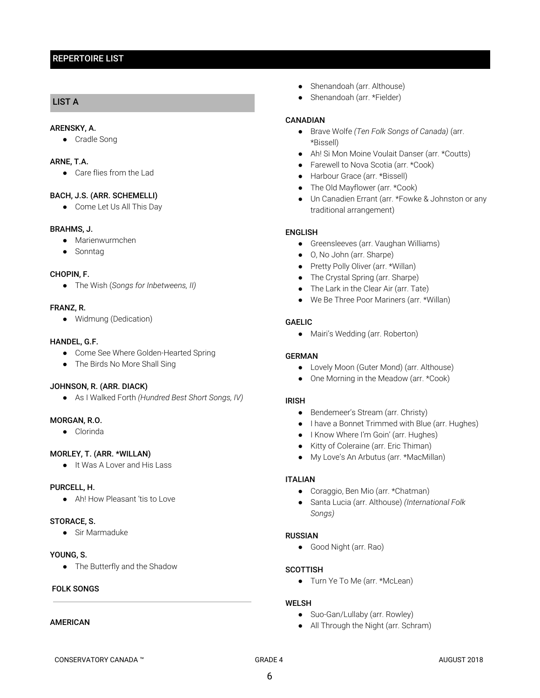# REPERTOIRE LIST

# LIST A

### ARENSKY, A.

● Cradle Song

### ARNE, T.A.

● Care flies from the Lad

### BACH, J.S. (ARR. SCHEMELLI)

● Come Let Us All This Day

### BRAHMS, J.

- Marienwurmchen
- Sonntag

### CHOPIN, F.

● The Wish (*Songs for Inbetweens, II)*

### FRANZ, R.

● Widmung (Dedication)

### HANDEL, G.F.

- Come See Where Golden-Hearted Spring
- The Birds No More Shall Sing

### JOHNSON, R. (ARR. DIACK)

● As I Walked Forth *(Hundred Best Short Songs, IV)*

### MORGAN, R.O.

● Clorinda

### MORLEY, T. (ARR. \*WILLAN)

● It Was A Lover and His Lass

### PURCELL, H.

● Ah! How Pleasant 'tis to Love

### STORACE, S.

● Sir Marmaduke

#### YOUNG, S.

● The Butterfly and the Shadow

### FOLK SONGS

#### AMERICAN

- Shenandoah (arr. Althouse)
- Shenandoah (arr. \*Fielder)

### CANADIAN

- Brave Wolfe *(Ten Folk Songs of Canada)* (arr. \*Bissell)
- Ah! Si Mon Moine Voulait Danser (arr. \*Coutts)
- Farewell to Nova Scotia (arr. \*Cook)
- Harbour Grace (arr. \*Bissell)
- The Old Mayflower (arr. \*Cook)
- Un Canadien Errant (arr. \*Fowke & Johnston or any traditional arrangement)

### ENGLISH

- Greensleeves (arr. Vaughan Williams)
- O, No John (arr. Sharpe)
- Pretty Polly Oliver (arr. \*Willan)
- The Crystal Spring (arr. Sharpe)
- The Lark in the Clear Air (arr. Tate)
- We Be Three Poor Mariners (arr. \*Willan)

### GAELIC

● Mairi's Wedding (arr. Roberton)

### GERMAN

- Lovely Moon (Guter Mond) (arr. Althouse)
- One Morning in the Meadow (arr. \*Cook)

### IRISH

- Bendemeer's Stream (arr. Christy)
- I have a Bonnet Trimmed with Blue (arr. Hughes)
- I Know Where I'm Goin' (arr. Hughes)
- Kitty of Coleraine (arr. Eric Thiman)
- My Love's An Arbutus (arr. \*MacMillan)

### ITALIAN

- Coraggio, Ben Mio (arr. \*Chatman)
- Santa Lucia (arr. Althouse) *(International Folk Songs)*

### RUSSIAN

● Good Night (arr. Rao)

### **SCOTTISH**

● Turn Ye To Me (arr. \*McLean)

### WELSH

- Suo-Gan/Lullaby (arr. Rowley)
- All Through the Night (arr. Schram)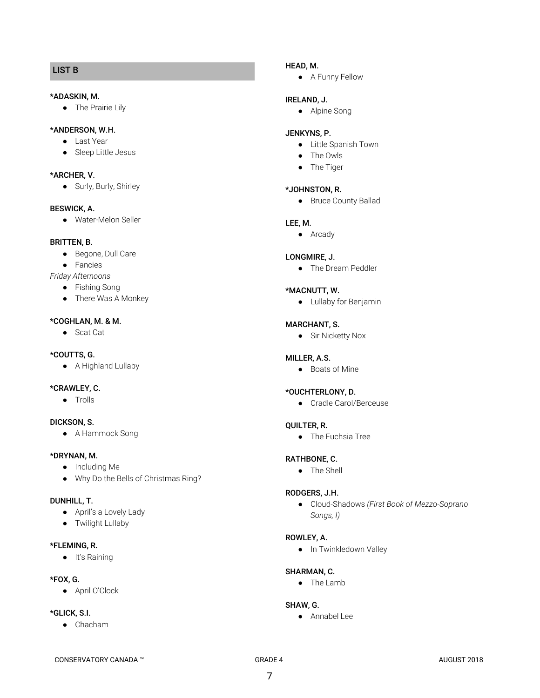# LIST B

### \*ADASKIN, M.

● The Prairie Lily

### \*ANDERSON, W.H.

- Last Year
- Sleep Little Jesus

#### \*ARCHER, V.

● Surly, Burly, Shirley

### BESWICK, A.

● Water-Melon Seller

### BRITTEN, B.

- Begone, Dull Care
- Fancies
- *Friday Afternoons*
	- Fishing Song
	- There Was A Monkey

#### \*COGHLAN, M. & M.

● Scat Cat

# \*COUTTS, G.

● A Highland Lullaby

### \*CRAWLEY, C.

● Trolls

# DICKSON, S.

● A Hammock Song

### \*DRYNAN, M.

- Including Me
- Why Do the Bells of Christmas Ring?

#### DUNHILL, T.

- April's a Lovely Lady
- Twilight Lullaby

#### \*FLEMING, R.

● It's Raining

#### \*FOX, G.

● April O'Clock

### \*GLICK, S.I.

● Chacham

### HEAD, M.

● A Funny Fellow

#### IRELAND, J.

● Alpine Song

### JENKYNS, P.

- Little Spanish Town
- The Owls
- The Tiger

### \*JOHNSTON, R.

● Bruce County Ballad

#### LEE, M.

● Arcady

#### LONGMIRE, J.

● The Dream Peddler

### \*MACNUTT, W.

● Lullaby for Benjamin

#### MARCHANT, S.

● Sir Nicketty Nox

#### MILLER, A.S.

● Boats of Mine

#### \*OUCHTERLONY, D.

● Cradle Carol/Berceuse

#### QUILTER, R.

● The Fuchsia Tree

### RATHBONE, C.

● The Shell

### RODGERS, J.H.

● Cloud-Shadows *(First Book of Mezzo-Soprano Songs, I)*

#### ROWLEY, A.

● In Twinkledown Valley

## SHARMAN, C.

● The Lamb

### SHAW, G.

● Annabel Lee